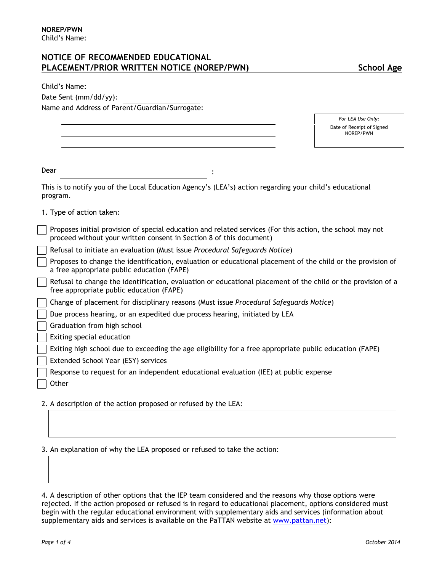# **NOTICE OF RECOMMENDED EDUCATIONAL PLACEMENT/PRIOR WRITTEN NOTICE (NOREP/PWN) School Age**

| Child's Name:                                                                                                                                                                    |                                        |
|----------------------------------------------------------------------------------------------------------------------------------------------------------------------------------|----------------------------------------|
| Date Sent (mm/dd/yy):                                                                                                                                                            |                                        |
| Name and Address of Parent/Guardian/Surrogate:                                                                                                                                   |                                        |
|                                                                                                                                                                                  | For LEA Use Only:                      |
|                                                                                                                                                                                  | Date of Receipt of Signed<br>NOREP/PWN |
|                                                                                                                                                                                  |                                        |
| Dear                                                                                                                                                                             |                                        |
| This is to notify you of the Local Education Agency's (LEA's) action regarding your child's educational<br>program.                                                              |                                        |
| 1. Type of action taken:                                                                                                                                                         |                                        |
| Proposes initial provision of special education and related services (For this action, the school may not<br>proceed without your written consent in Section 8 of this document) |                                        |
| Refusal to initiate an evaluation (Must issue Procedural Safeguards Notice)                                                                                                      |                                        |
| Proposes to change the identification, evaluation or educational placement of the child or the provision of<br>a free appropriate public education (FAPE)                        |                                        |
| Refusal to change the identification, evaluation or educational placement of the child or the provision of a<br>free appropriate public education (FAPE)                         |                                        |
| Change of placement for disciplinary reasons (Must issue Procedural Safeguards Notice)                                                                                           |                                        |
| Due process hearing, or an expedited due process hearing, initiated by LEA                                                                                                       |                                        |
| Graduation from high school                                                                                                                                                      |                                        |
| Exiting special education                                                                                                                                                        |                                        |
| Exiting high school due to exceeding the age eligibility for a free appropriate public education (FAPE)                                                                          |                                        |
| Extended School Year (ESY) services                                                                                                                                              |                                        |
| Response to request for an independent educational evaluation (IEE) at public expense                                                                                            |                                        |
| Other                                                                                                                                                                            |                                        |
| 2. A description of the action proposed or refused by the LEA:                                                                                                                   |                                        |

3. An explanation of why the LEA proposed or refused to take the action:

4. A description of other options that the IEP team considered and the reasons why those options were rejected. If the action proposed or refused is in regard to educational placement, options considered must begin with the regular educational environment with supplementary aids and services (information about supplementary aids and services is available on the PaTTAN website at [www.pattan.net](http://www.pattan.net/)):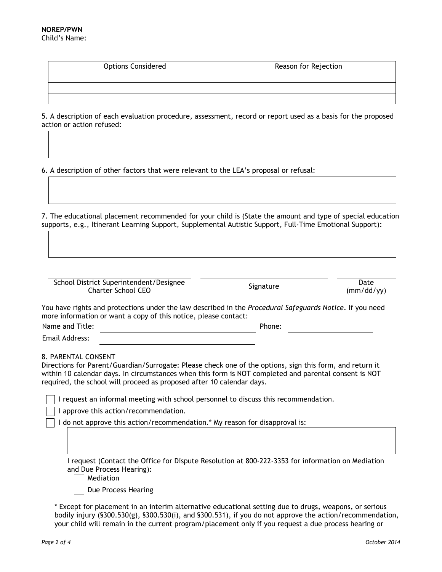| <b>Options Considered</b> | Reason for Rejection |  |
|---------------------------|----------------------|--|
|                           |                      |  |
|                           |                      |  |
|                           |                      |  |

5. A description of each evaluation procedure, assessment, record or report used as a basis for the proposed action or action refused:

6. A description of other factors that were relevant to the LEA's proposal or refusal:

7. The educational placement recommended for your child is (State the amount and type of special education supports, e.g., Itinerant Learning Support, Supplemental Autistic Support, Full-Time Emotional Support):

| School District Superintendent/Designee<br><b>Charter School CEO</b> | Signature | Date    |
|----------------------------------------------------------------------|-----------|---------|
|                                                                      |           | (mm/dd) |

(mm/dd/yy)

You have rights and protections under the law described in the *Procedural Safeguards Notice*. If you need more information or want a copy of this notice, please contact:

Name and Title: example and Title: Phone: Phone: Phone: Phone: Phone: Phone: Phone: Phone: Phone: Phone: Phone: Phone: Phone: Phone: Phone: Phone: Phone: Phone: Phone: Phone: Phone: Phone: Phone: Phone: Phone: Phone: Phone

Email Address:

8. PARENTAL CONSENT

Directions for Parent/Guardian/Surrogate: Please check one of the options, sign this form, and return it within 10 calendar days. In circumstances when this form is NOT completed and parental consent is NOT required, the school will proceed as proposed after 10 calendar days.

I request an informal meeting with school personnel to discuss this recommendation.

I approve this action/recommendation.

I do not approve this action/recommendation.\* My reason for disapproval is:

I request (Contact the Office for Dispute Resolution at 800-222-3353 for information on Mediation and Due Process Hearing):

Mediation

Due Process Hearing

\* Except for placement in an interim alternative educational setting due to drugs, weapons, or serious bodily injury (§300.530(g), §300.530(i), and §300.531), if you do not approve the action/recommendation, your child will remain in the current program/placement only if you request a due process hearing or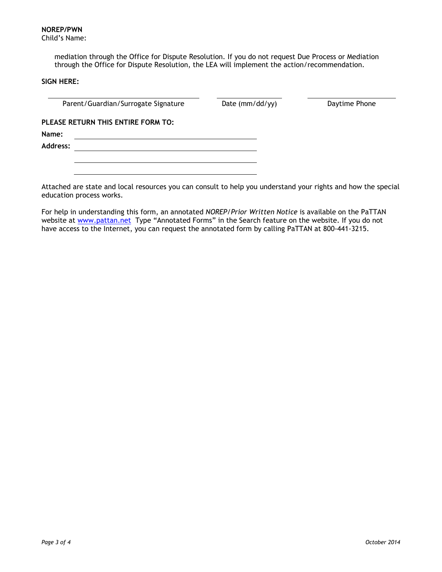**NOREP/PWN** Child's Name:

> mediation through the Office for Dispute Resolution. If you do not request Due Process or Mediation through the Office for Dispute Resolution, the LEA will implement the action/recommendation.

## **SIGN HERE:**

Parent/Guardian/Surrogate Signature Date (mm/dd/yy) Daytime Phone

**PLEASE RETURN THIS ENTIRE FORM TO:**

**Name:**

**Address:**

Attached are state and local resources you can consult to help you understand your rights and how the special education process works.

For help in understanding this form, an annotated *NOREP/Prior Written Notice* is available on the PaTTAN website at [www.pattan.net](http://www.pattan.net/) Type "Annotated Forms" in the Search feature on the website. If you do not have access to the Internet, you can request the annotated form by calling PaTTAN at 800-441-3215.